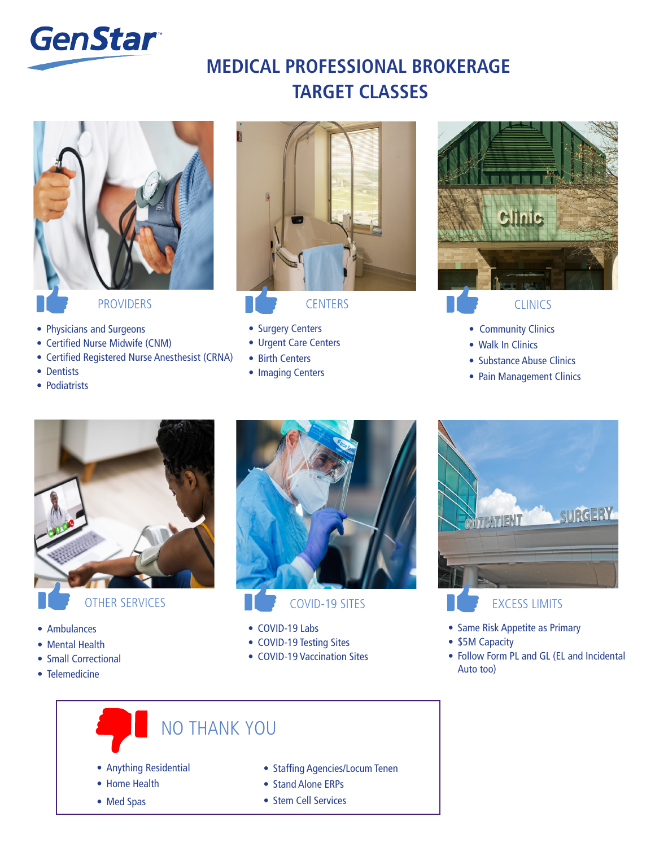

## Top Classes for Georgia **MEDICAL PROFESSIONAL BROKERAGE TARGET CLASSES**



- Physicians and Surgeons
- Certified Nurse Midwife (CNM)
- Certified Registered Nurse Anesthesist (CRNA)
- Dentists
- Podiatrists



- Surgery Centers
- Urgent Care Centers
- Birth Centers
- Imaging Centers



- Community Clinics
- Walk In Clinics
- Substance Abuse Clinics
- Pain Management Clinics



OTHER SERVICES

- Ambulances
- Mental Health
- Small Correctional
- Telemedicine



- COVID-19 SITES
- COVID-19 Labs
- COVID-19 Testing Sites
- COVID-19 Vaccination Sites



- EXCESS LIMITS
- Same Risk Appetite as Primary
- \$5M Capacity
- Follow Form PL and GL (EL and Incidental Auto too)

# NO THANK YOU

- Anything Residential
- Home Health
- Med Spas
- Staffing Agencies/Locum Tenen
- Stand Alone ERPs
- Stem Cell Services